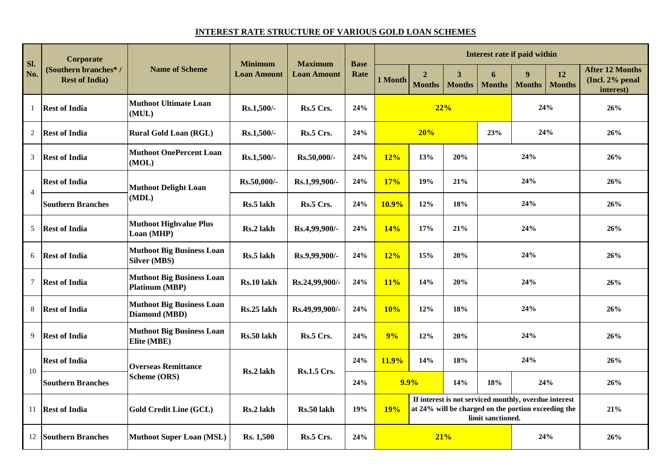## **INTEREST RATE STRUCTURE OF VARIOUS GOLD LOAN SCHEMES**

| SI.<br>No.     | Corporate<br>(Southern branches*/<br><b>Rest of India</b> ) | <b>Name of Scheme</b>                                     | <b>Minimum</b><br><b>Loan Amount</b> | <b>Maximum</b><br><b>Loan Amount</b> | <b>Base</b><br>Rate | Interest rate if paid within                                                                                                                    |                                 |                                          |                    |                    |                     |                                                        |  |
|----------------|-------------------------------------------------------------|-----------------------------------------------------------|--------------------------------------|--------------------------------------|---------------------|-------------------------------------------------------------------------------------------------------------------------------------------------|---------------------------------|------------------------------------------|--------------------|--------------------|---------------------|--------------------------------------------------------|--|
|                |                                                             |                                                           |                                      |                                      |                     | 1 Month                                                                                                                                         | $\overline{2}$<br><b>Months</b> | $\overline{\mathbf{3}}$<br><b>Months</b> | 6<br><b>Months</b> | 9<br><b>Months</b> | 12<br><b>Months</b> | <b>After 12 Months</b><br>(Incl. 2% penal<br>interest) |  |
| $\mathbf{1}$   | <b>Rest of India</b>                                        | <b>Muthoot Ultimate Loan</b><br>(MUL)                     | Rs.1,500/-                           | Rs.5 Crs.                            | 24%                 |                                                                                                                                                 | 22%                             |                                          |                    | 24%                |                     | 26%                                                    |  |
| 2              | <b>Rest of India</b>                                        | <b>Rural Gold Loan (RGL)</b>                              | Rs.1,500/-                           | Rs.5 Crs.                            | 24%                 |                                                                                                                                                 | 20%<br>23%                      |                                          |                    | 24%                |                     | 26%                                                    |  |
| 3              | <b>Rest of India</b>                                        | <b>Muthoot OnePercent Loan</b><br>(MOL)                   | Rs.1,500/-                           | Rs.50,000/-                          | 24%                 | 12%                                                                                                                                             | 13%                             | 20%                                      | 24%                |                    |                     | 26%                                                    |  |
| $\overline{4}$ | <b>Rest of India</b>                                        | <b>Muthoot Delight Loan</b>                               | Rs.50,000/-                          | Rs.1,99,900/-                        | 24%                 | <b>17%</b>                                                                                                                                      | 19%                             | 21%                                      | 24%                |                    |                     | 26%                                                    |  |
|                | <b>Southern Branches</b>                                    | (MDL)                                                     | Rs.5 lakh                            | Rs.5 Crs.                            | 24%                 | 10.9%                                                                                                                                           | 12%                             | 18%                                      | 24%                |                    |                     | 26%                                                    |  |
| 5              | <b>Rest of India</b>                                        | <b>Muthoot Highvalue Plus</b><br>Loan (MHP)               | Rs.2 lakh                            | Rs.4,99,900/-                        | 24%                 | 14%                                                                                                                                             | 17%                             | 21%                                      | 24%                |                    |                     | 26%                                                    |  |
| 6              | <b>Rest of India</b>                                        | <b>Muthoot Big Business Loan</b><br><b>Silver (MBS)</b>   | Rs.5 lakh                            | Rs.9,99,900/-                        | 24%                 | 12%                                                                                                                                             | 15%                             | 20%                                      | 24%                |                    |                     | 26%                                                    |  |
| $\tau$         | <b>Rest of India</b>                                        | <b>Muthoot Big Business Loan</b><br><b>Platinum (MBP)</b> | Rs.10 lakh                           | Rs.24,99,900/-                       | 24%                 | 11%                                                                                                                                             | 14%                             | 20%                                      | 24%                |                    |                     | 26%                                                    |  |
| 8              | <b>Rest of India</b>                                        | <b>Muthoot Big Business Loan</b><br>Diamond (MBD)         | Rs.25 lakh                           | Rs.49,99,900/-                       | 24%                 | 10%                                                                                                                                             | 12%                             | 18%                                      | 24%                |                    |                     | 26%                                                    |  |
| 9              | <b>Rest of India</b>                                        | <b>Muthoot Big Business Loan</b><br>Elite (MBE)           | Rs.50 lakh                           | Rs.5 Crs.                            | 24%                 | 9%                                                                                                                                              | 12%                             | 20%                                      | 24%                |                    |                     | 26%                                                    |  |
| 10             | <b>Rest of India</b>                                        | <b>Overseas Remittance</b>                                | Rs.2 lakh                            | <b>Rs.1.5 Crs.</b>                   | 24%                 | 11.9%                                                                                                                                           | 14%                             | 18%                                      | 24%                |                    | 26%                 |                                                        |  |
|                | <b>Southern Branches</b>                                    | <b>Scheme (ORS)</b>                                       |                                      |                                      | 24%                 | 9.9%                                                                                                                                            |                                 | 14%                                      | 24%<br>18%         |                    | 26%                 |                                                        |  |
| 11             | <b>Rest of India</b>                                        | <b>Gold Credit Line (GCL)</b>                             | Rs.2 lakh                            | Rs.50 lakh                           | 19%                 | If interest is not serviced monthly, overdue interest<br>at 24% will be charged on the portion exceeding the<br><b>19%</b><br>limit sanctioned. |                                 |                                          |                    |                    |                     | 21%                                                    |  |
| 12             | <b>Southern Branches</b>                                    | <b>Muthoot Super Loan (MSL)</b>                           | Rs. 1,500                            | Rs.5 Crs.                            | 24%                 | 21%<br>24%                                                                                                                                      |                                 |                                          |                    |                    | 26%                 |                                                        |  |